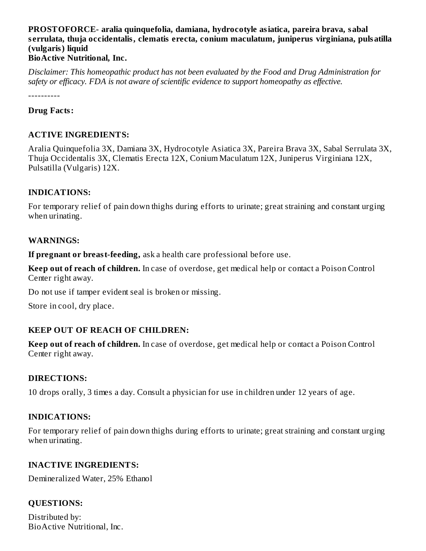## **PROSTOFORCE- aralia quinquefolia, damiana, hydrocotyle asiatica, pareira brava, sabal s errulata, thuja occidentalis, clematis erecta, conium maculatum, juniperus virginiana, pulsatilla (vulgaris) liquid**

## **BioActive Nutritional, Inc.**

*Disclaimer: This homeopathic product has not been evaluated by the Food and Drug Administration for safety or efficacy. FDA is not aware of scientific evidence to support homeopathy as effective.*

----------

### **Drug Facts:**

## **ACTIVE INGREDIENTS:**

Aralia Quinquefolia 3X, Damiana 3X, Hydrocotyle Asiatica 3X, Pareira Brava 3X, Sabal Serrulata 3X, Thuja Occidentalis 3X, Clematis Erecta 12X, Conium Maculatum 12X, Juniperus Virginiana 12X, Pulsatilla (Vulgaris) 12X.

### **INDICATIONS:**

For temporary relief of pain down thighs during efforts to urinate; great straining and constant urging when urinating.

### **WARNINGS:**

**If pregnant or breast-feeding,** ask a health care professional before use.

**Keep out of reach of children.** In case of overdose, get medical help or contact a Poison Control Center right away.

Do not use if tamper evident seal is broken or missing.

Store in cool, dry place.

## **KEEP OUT OF REACH OF CHILDREN:**

**Keep out of reach of children.** In case of overdose, get medical help or contact a Poison Control Center right away.

### **DIRECTIONS:**

10 drops orally, 3 times a day. Consult a physician for use in children under 12 years of age.

### **INDICATIONS:**

For temporary relief of pain down thighs during efforts to urinate; great straining and constant urging when urinating.

### **INACTIVE INGREDIENTS:**

Demineralized Water, 25% Ethanol

## **QUESTIONS:**

Distributed by: BioActive Nutritional, Inc.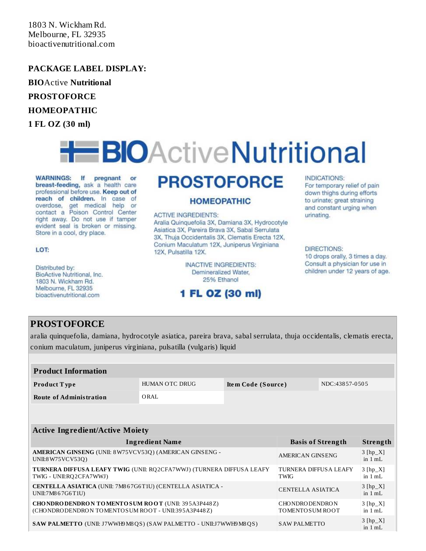1803 N. Wickham Rd. Melbourne, FL 32935 bioactivenutritional.com

### **PACKAGE LABEL DISPLAY:**

**BIO**Active **Nutritional**

**PROSTOFORCE**

### **HOMEOPATHIC**

**1 FL OZ (30 ml)**

# **EBIOActiveNutritional**

**WARNINGS:** If pregnant or breast-feeding, ask a health care professional before use. Keep out of reach of children. In case of overdose, get medical help or contact a Poison Control Center right away. Do not use if tamper evident seal is broken or missing. Store in a cool, dry place.

### LOT:

Distributed by: BioActive Nutritional, Inc. 1803 N. Wickham Rd. Melbourne, FL 32935 bioactivenutritional.com

## **PROSTOFORCE**

### **HOMEOPATHIC**

### **ACTIVE INGREDIENTS:**

Aralia Quinquefolia 3X, Damiana 3X, Hydrocotyle Asiatica 3X, Pareira Brava 3X, Sabal Serrulata 3X, Thuja Occidentalis 3X, Clematis Erecta 12X, Conium Maculatum 12X, Juniperus Virginiana 12X, Pulsatilla 12X.

> **INACTIVE INGREDIENTS:** Demineralized Water, 25% Ethanol

## 1 FL OZ (30 ml)

### **INDICATIONS:**

For temporary relief of pain down thighs during efforts to urinate; great straining and constant urging when urinating.

### **DIRECTIONS:**

10 drops orally, 3 times a day. Consult a physician for use in children under 12 years of age.

### **PROSTOFORCE**

aralia quinquefolia, damiana, hydrocotyle asiatica, pareira brava, sabal serrulata, thuja occidentalis, clematis erecta, conium maculatum, juniperus virginiana, pulsatilla (vulgaris) liquid

| <b>Product Information</b>     |                |                    |                |  |
|--------------------------------|----------------|--------------------|----------------|--|
| <b>Product Type</b>            | HUMAN OTC DRUG | Item Code (Source) | NDC:43857-0505 |  |
| <b>Route of Administration</b> | ORAL           |                    |                |  |

### **Active Ingredient/Active Moiety**

| <b>Ingredient Name</b>                                                                                              | <b>Basis of Strength</b>                    | Strength                        |
|---------------------------------------------------------------------------------------------------------------------|---------------------------------------------|---------------------------------|
| AMERICAN GINSENG (UNII: 8W75VCV53Q) (AMERICAN GINSENG -<br>UNII:8 W75 VC V53Q)                                      | AMERICAN GINSENG                            | $3$ [hp_X]<br>in $1 mL$         |
| <b>TURNERA DIFFUSA LEAFY TWIG (UNII: RQ2CFA7WWJ) (TURNERA DIFFUSA LEAFY</b><br>TWIG - UNII:RQ2CFA7WWJ)              | <b>TURNERA DIFFUSA LEAFY</b><br><b>TWIG</b> | $3 [hp_X]$<br>in $1 \text{ mL}$ |
| CENTELLA ASIATICA (UNII: 7M867G6T1U) (CENTELLA ASIATICA -<br>UNII:7M867G6T1U)                                       | CENTELLA ASIATICA                           | $3 [hp_X]$<br>in $1 mL$         |
| <b>CHO NDRO DENDRO N TO MENTO SUM ROOT (UNII: 395A3P448Z)</b><br>(CHONDRODENDRON TOMENTOSUM ROOT - UNII:395A3P448Z) | <b>CHONDRODENDRON</b><br>TOMENTO SUM ROOT   | $3$ [hp_X]<br>in $1 mL$         |
| <b>SAW PALMETTO</b> (UNII: J7WWH9M8QS) (SAW PALMETTO - UNII:J7WWH9M8QS)                                             | SAW PALMETTO                                | $3$ [hp_X]<br>in $1 mL$         |